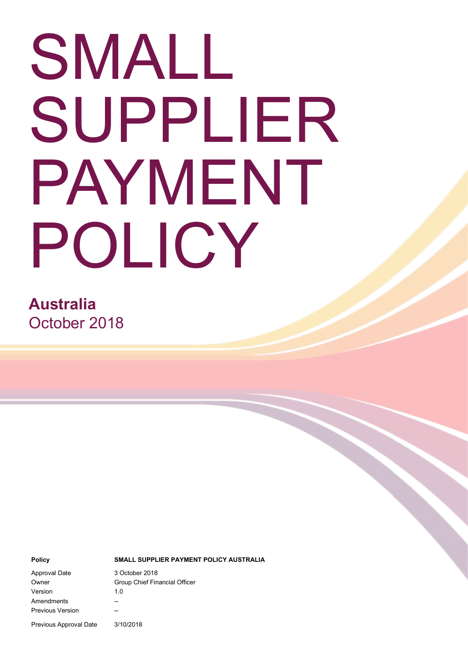# SMALL SUPPLIER PAYMENT POLICY

**Australia** October 2018

#### **Policy SMALL SUPPLIER PAYMENT POLICY AUSTRALIA**

Approval Date 3 October 2018 Version 1.0 Amendments --Previous Version --

Owner Group Chief Financial Officer

Previous Approval Date 3/10/2018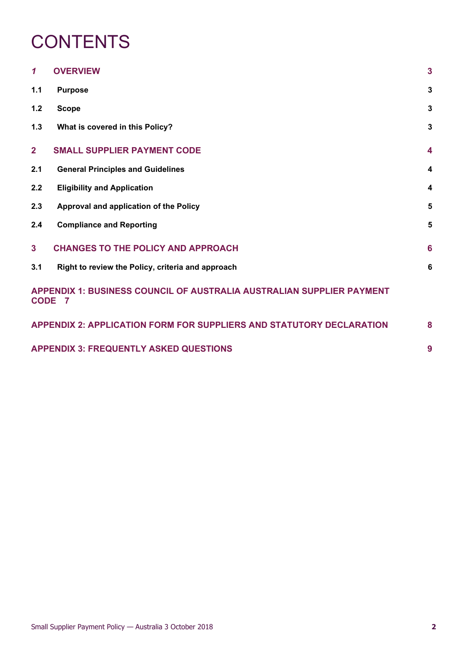### **CONTENTS**

| 1                                                                                      | <b>OVERVIEW</b>                                                             | $\overline{\mathbf{3}}$ |
|----------------------------------------------------------------------------------------|-----------------------------------------------------------------------------|-------------------------|
| 1.1                                                                                    | <b>Purpose</b>                                                              | $\mathbf{3}$            |
| $1.2$                                                                                  | <b>Scope</b>                                                                | $\mathbf{3}$            |
| 1.3                                                                                    | What is covered in this Policy?                                             | $\mathbf{3}$            |
| $\overline{2}$                                                                         | <b>SMALL SUPPLIER PAYMENT CODE</b>                                          | $\overline{\mathbf{4}}$ |
| 2.1                                                                                    | <b>General Principles and Guidelines</b>                                    | $\boldsymbol{4}$        |
| 2.2                                                                                    | <b>Eligibility and Application</b>                                          | $\overline{\mathbf{4}}$ |
| 2.3                                                                                    | Approval and application of the Policy                                      | 5                       |
| 2.4                                                                                    | <b>Compliance and Reporting</b>                                             | 5                       |
| 3 <sup>1</sup>                                                                         | <b>CHANGES TO THE POLICY AND APPROACH</b>                                   | 6                       |
| 3.1                                                                                    | Right to review the Policy, criteria and approach                           | $6\phantom{1}6$         |
| <b>APPENDIX 1: BUSINESS COUNCIL OF AUSTRALIA AUSTRALIAN SUPPLIER PAYMENT</b><br>CODE 7 |                                                                             |                         |
|                                                                                        | <b>APPENDIX 2: APPLICATION FORM FOR SUPPLIERS AND STATUTORY DECLARATION</b> | 8                       |
| <b>APPENDIX 3: FREQUENTLY ASKED QUESTIONS</b>                                          |                                                                             | 9                       |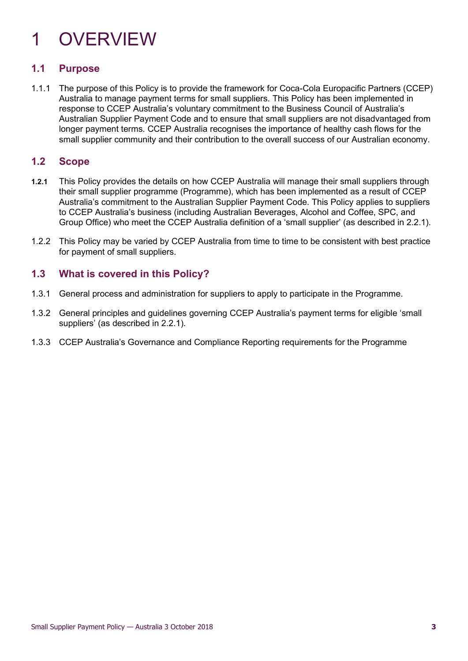## <span id="page-2-0"></span>1 OVERVIEW

### <span id="page-2-1"></span>**1.1 Purpose**

1.1.1 The purpose of this Policy is to provide the framework for Coca-Cola Europacific Partners (CCEP) Australia to manage payment terms for small suppliers. This Policy has been implemented in response to CCEP Australia's voluntary commitment to the Business Council of Australia's Australian Supplier Payment Code and to ensure that small suppliers are not disadvantaged from longer payment terms. CCEP Australia recognises the importance of healthy cash flows for the small supplier community and their contribution to the overall success of our Australian economy.

### <span id="page-2-2"></span>**1.2 Scope**

- **1.2.1** This Policy provides the details on how CCEP Australia will manage their small suppliers through their small supplier programme (Programme), which has been implemented as a result of CCEP Australia's commitment to the Australian Supplier Payment Code. This Policy applies to suppliers to CCEP Australia's business (including Australian Beverages, Alcohol and Coffee, SPC, and Group Office) who meet the CCEP Australia definition of a 'small supplier' (as described in 2.2.1).
- 1.2.2 This Policy may be varied by CCEP Australia from time to time to be consistent with best practice for payment of small suppliers.

### <span id="page-2-3"></span>**1.3 What is covered in this Policy?**

- 1.3.1 General process and administration for suppliers to apply to participate in the Programme.
- 1.3.2 General principles and guidelines governing CCEP Australia's payment terms for eligible 'small suppliers' (as described in 2.2.1).
- 1.3.3 CCEP Australia's Governance and Compliance Reporting requirements for the Programme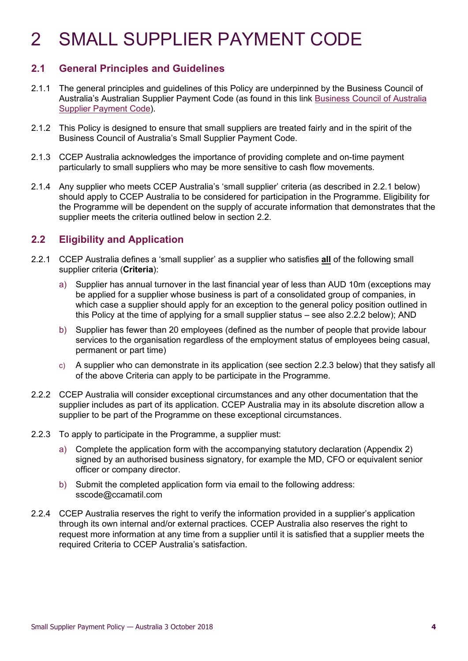### <span id="page-3-0"></span>2 SMALL SUPPLIER PAYMENT CODE

### <span id="page-3-1"></span>**2.1 General Principles and Guidelines**

- 2.1.1 The general principles and guidelines of this Policy are underpinned by the Business Council of Australia's Australian Supplier Payment Code (as found in this link [Business Council of Australia](http://www.bca.com.au/policy-agenda/australian-supplier-payment-code)  [Supplier Payment Code\)](http://www.bca.com.au/policy-agenda/australian-supplier-payment-code).
- 2.1.2 This Policy is designed to ensure that small suppliers are treated fairly and in the spirit of the Business Council of Australia's Small Supplier Payment Code.
- 2.1.3 CCEP Australia acknowledges the importance of providing complete and on-time payment particularly to small suppliers who may be more sensitive to cash flow movements.
- 2.1.4 Any supplier who meets CCEP Australia's 'small supplier' criteria (as described in 2.2.1 below) should apply to CCEP Australia to be considered for participation in the Programme. Eligibility for the Programme will be dependent on the supply of accurate information that demonstrates that the supplier meets the criteria outlined below in section 2.2.

### <span id="page-3-2"></span>**2.2 Eligibility and Application**

- 2.2.1 CCEP Australia defines a 'small supplier' as a supplier who satisfies **all** of the following small supplier criteria (**Criteria**):
	- a) Supplier has annual turnover in the last financial year of less than AUD 10m (exceptions may be applied for a supplier whose business is part of a consolidated group of companies, in which case a supplier should apply for an exception to the general policy position outlined in this Policy at the time of applying for a small supplier status – see also 2.2.2 below); AND
	- b) Supplier has fewer than 20 employees (defined as the number of people that provide labour services to the organisation regardless of the employment status of employees being casual, permanent or part time)
	- c) A supplier who can demonstrate in its application (see section [2.2.3](#page-3-3) below) that they satisfy all of the above Criteria can apply to be participate in the Programme.
- 2.2.2 CCEP Australia will consider exceptional circumstances and any other documentation that the supplier includes as part of its application. CCEP Australia may in its absolute discretion allow a supplier to be part of the Programme on these exceptional circumstances.
- <span id="page-3-3"></span>2.2.3 To apply to participate in the Programme, a supplier must:
	- a) Complete the application form with the accompanying statutory declaration (Appendix 2) signed by an authorised business signatory, for example the MD, CFO or equivalent senior officer or company director.
	- b) Submit the completed application form via email to the following address: [sscode@ccamatil.com](mailto:sscode@ccamatil.com)
- 2.2.4 CCEP Australia reserves the right to verify the information provided in a supplier's application through its own internal and/or external practices. CCEP Australia also reserves the right to request more information at any time from a supplier until it is satisfied that a supplier meets the required Criteria to CCEP Australia's satisfaction.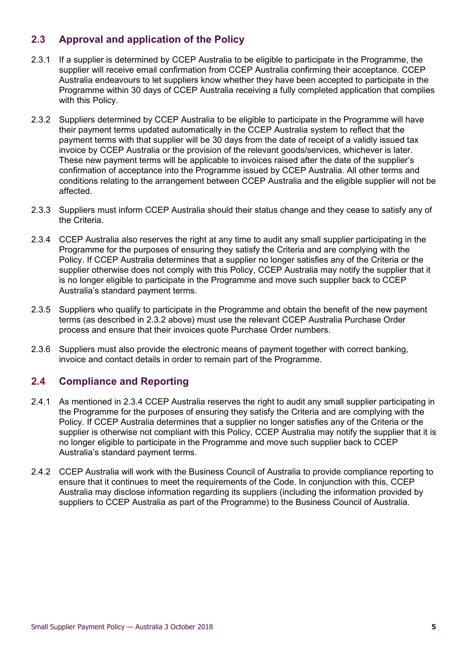### <span id="page-4-0"></span>**2.3 Approval and application of the Policy**

- 2.3.1 If a supplier is determined by CCEP Australia to be eligible to participate in the Programme, the supplier will receive email confirmation from CCEP Australia confirming their acceptance. CCEP Australia endeavours to let suppliers know whether they have been accepted to participate in the Programme within 30 days of CCEP Australia receiving a fully completed application that complies with this Policy.
- 2.3.2 Suppliers determined by CCEP Australia to be eligible to participate in the Programme will have their payment terms updated automatically in the CCEP Australia system to reflect that the payment terms with that supplier will be 30 days from the date of receipt of a validly issued tax invoice by CCEP Australia or the provision of the relevant goods/services, whichever is later. These new payment terms will be applicable to invoices raised after the date of the supplier's confirmation of acceptance into the Programme issued by CCEP Australia. All other terms and conditions relating to the arrangement between CCEP Australia and the eligible supplier will not be affected.
- 2.3.3 Suppliers must inform CCEP Australia should their status change and they cease to satisfy any of the Criteria.
- 2.3.4 CCEP Australia also reserves the right at any time to audit any small supplier participating in the Programme for the purposes of ensuring they satisfy the Criteria and are complying with the Policy. If CCEP Australia determines that a supplier no longer satisfies any of the Criteria or the supplier otherwise does not comply with this Policy, CCEP Australia may notify the supplier that it is no longer eligible to participate in the Programme and move such supplier back to CCEP Australia's standard payment terms.
- 2.3.5 Suppliers who qualify to participate in the Programme and obtain the benefit of the new payment terms (as described in 2.3.2 above) must use the relevant CCEP Australia Purchase Order process and ensure that their invoices quote Purchase Order numbers.
- 2.3.6 Suppliers must also provide the electronic means of payment together with correct banking, invoice and contact details in order to remain part of the Programme.

### <span id="page-4-1"></span>**2.4 Compliance and Reporting**

- 2.4.1 As mentioned in 2.3.4 CCEP Australia reserves the right to audit any small supplier participating in the Programme for the purposes of ensuring they satisfy the Criteria and are complying with the Policy. If CCEP Australia determines that a supplier no longer satisfies any of the Criteria or the supplier is otherwise not compliant with this Policy, CCEP Australia may notify the supplier that it is no longer eligible to participate in the Programme and move such supplier back to CCEP Australia's standard payment terms.
- 2.4.2 CCEP Australia will work with the Business Council of Australia to provide compliance reporting to ensure that it continues to meet the requirements of the Code. In conjunction with this, CCEP Australia may disclose information regarding its suppliers (including the information provided by suppliers to CCEP Australia as part of the Programme) to the Business Council of Australia.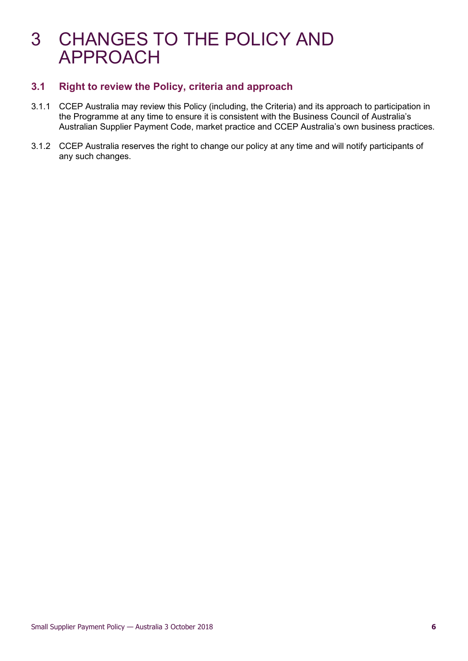### <span id="page-5-0"></span>3 CHANGES TO THE POLICY AND APPROACH

### <span id="page-5-1"></span>**3.1 Right to review the Policy, criteria and approach**

- 3.1.1 CCEP Australia may review this Policy (including, the Criteria) and its approach to participation in the Programme at any time to ensure it is consistent with the Business Council of Australia's Australian Supplier Payment Code, market practice and CCEP Australia's own business practices.
- 3.1.2 CCEP Australia reserves the right to change our policy at any time and will notify participants of any such changes.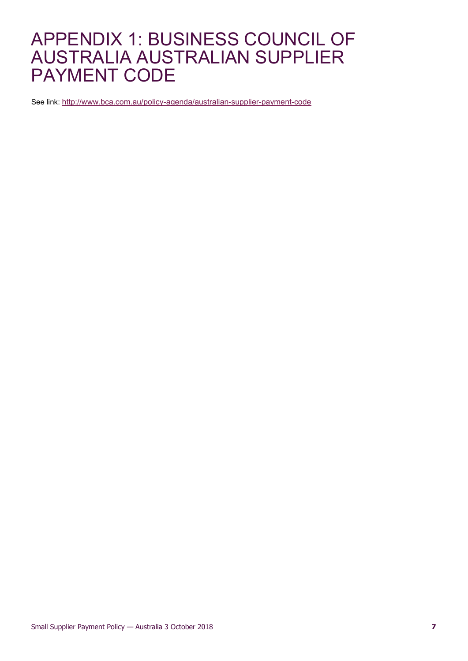### <span id="page-6-0"></span>APPENDIX 1: BUSINESS COUNCIL OF AUSTRALIA AUSTRALIAN SUPPLIER PAYMENT CODE

See link:<http://www.bca.com.au/policy-agenda/australian-supplier-payment-code>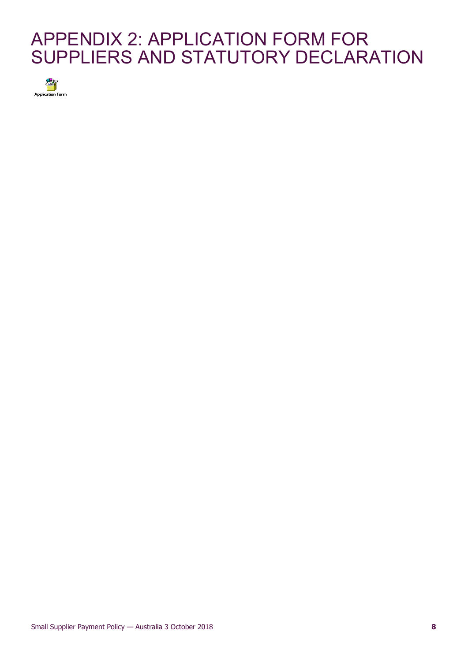### <span id="page-7-0"></span>APPENDIX 2: APPLICATION FORM FOR SUPPLIERS AND STATUTORY DECLARATION